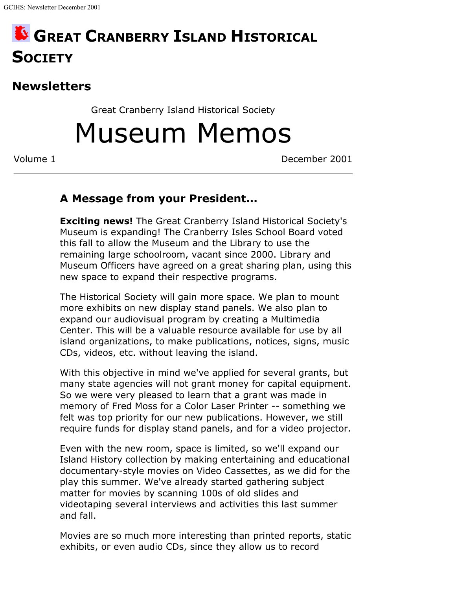## **GREAT CRANBERRY ISLAND HISTORICAL SOCIETY**

## **Newsletters**

Great Cranberry Island Historical Society

Museum Memos

Volume 1 December 2001

## **A Message from your President...**

**Exciting news!** The Great Cranberry Island Historical Society's Museum is expanding! The Cranberry Isles School Board voted this fall to allow the Museum and the Library to use the remaining large schoolroom, vacant since 2000. Library and Museum Officers have agreed on a great sharing plan, using this new space to expand their respective programs.

The Historical Society will gain more space. We plan to mount more exhibits on new display stand panels. We also plan to expand our audiovisual program by creating a Multimedia Center. This will be a valuable resource available for use by all island organizations, to make publications, notices, signs, music CDs, videos, etc. without leaving the island.

With this objective in mind we've applied for several grants, but many state agencies will not grant money for capital equipment. So we were very pleased to learn that a grant was made in memory of Fred Moss for a Color Laser Printer -- something we felt was top priority for our new publications. However, we still require funds for display stand panels, and for a video projector.

Even with the new room, space is limited, so we'll expand our Island History collection by making entertaining and educational documentary-style movies on Video Cassettes, as we did for the play this summer. We've already started gathering subject matter for movies by scanning 100s of old slides and videotaping several interviews and activities this last summer and fall.

Movies are so much more interesting than printed reports, static exhibits, or even audio CDs, since they allow us to record